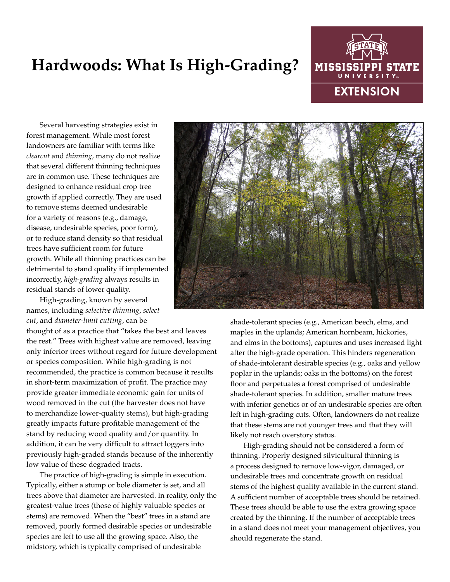## **Hardwoods: What Is High-Grading?**



Several harvesting strategies exist in forest management. While most forest landowners are familiar with terms like *clearcut* and *thinning*, many do not realize that several different thinning techniques are in common use. These techniques are designed to enhance residual crop tree growth if applied correctly. They are used to remove stems deemed undesirable for a variety of reasons (e.g., damage, disease, undesirable species, poor form), or to reduce stand density so that residual trees have sufficient room for future growth. While all thinning practices can be detrimental to stand quality if implemented incorrectly, *high-grading* always results in residual stands of lower quality.

High-grading, known by several names, including *selective thinning*, *select cut*, and *diameter-limit cutting*, can be

thought of as a practice that "takes the best and leaves the rest." Trees with highest value are removed, leaving only inferior trees without regard for future development or species composition. While high-grading is not recommended, the practice is common because it results in short-term maximization of profit. The practice may provide greater immediate economic gain for units of wood removed in the cut (the harvester does not have to merchandize lower-quality stems), but high-grading greatly impacts future profitable management of the stand by reducing wood quality and/or quantity. In addition, it can be very difficult to attract loggers into previously high-graded stands because of the inherently low value of these degraded tracts.

The practice of high-grading is simple in execution. Typically, either a stump or bole diameter is set, and all trees above that diameter are harvested. In reality, only the greatest-value trees (those of highly valuable species or stems) are removed. When the "best" trees in a stand are removed, poorly formed desirable species or undesirable species are left to use all the growing space. Also, the midstory, which is typically comprised of undesirable



shade-tolerant species (e.g., American beech, elms, and maples in the uplands; American hornbeam, hickories, and elms in the bottoms), captures and uses increased light after the high-grade operation. This hinders regeneration of shade-intolerant desirable species (e.g., oaks and yellow poplar in the uplands; oaks in the bottoms) on the forest floor and perpetuates a forest comprised of undesirable shade-tolerant species. In addition, smaller mature trees with inferior genetics or of an undesirable species are often left in high-grading cuts. Often, landowners do not realize that these stems are not younger trees and that they will likely not reach overstory status.

High-grading should not be considered a form of thinning. Properly designed silvicultural thinning is a process designed to remove low-vigor, damaged, or undesirable trees and concentrate growth on residual stems of the highest quality available in the current stand. A sufficient number of acceptable trees should be retained. These trees should be able to use the extra growing space created by the thinning. If the number of acceptable trees in a stand does not meet your management objectives, you should regenerate the stand.